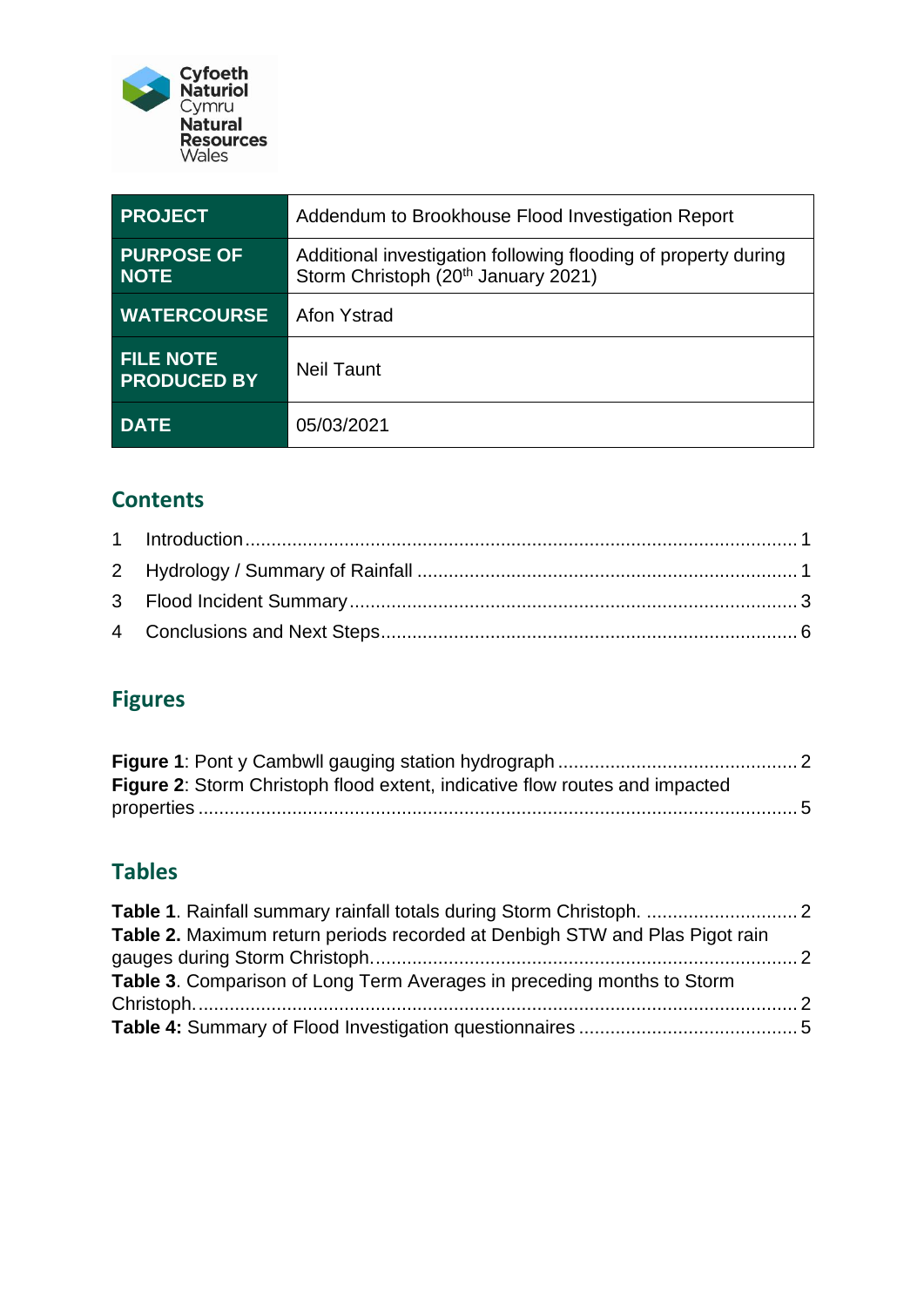

| <b>PROJECT</b>                         | Addendum to Brookhouse Flood Investigation Report                                                                 |
|----------------------------------------|-------------------------------------------------------------------------------------------------------------------|
| <b>PURPOSE OF</b><br><b>NOTE</b>       | Additional investigation following flooding of property during<br>Storm Christoph (20 <sup>th</sup> January 2021) |
| <b>WATERCOURSE</b>                     | <b>Afon Ystrad</b>                                                                                                |
| <b>FILE NOTE</b><br><b>PRODUCED BY</b> | Neil Taunt                                                                                                        |
| <b>DATE</b>                            | 05/03/2021                                                                                                        |

### **Contents**

## **Figures**

| <b>Figure 2:</b> Storm Christoph flood extent, indicative flow routes and impacted |  |
|------------------------------------------------------------------------------------|--|
|                                                                                    |  |

### **Tables**

| Table 2. Maximum return periods recorded at Denbigh STW and Plas Pigot rain |  |
|-----------------------------------------------------------------------------|--|
|                                                                             |  |
| Table 3. Comparison of Long Term Averages in preceding months to Storm      |  |
|                                                                             |  |
|                                                                             |  |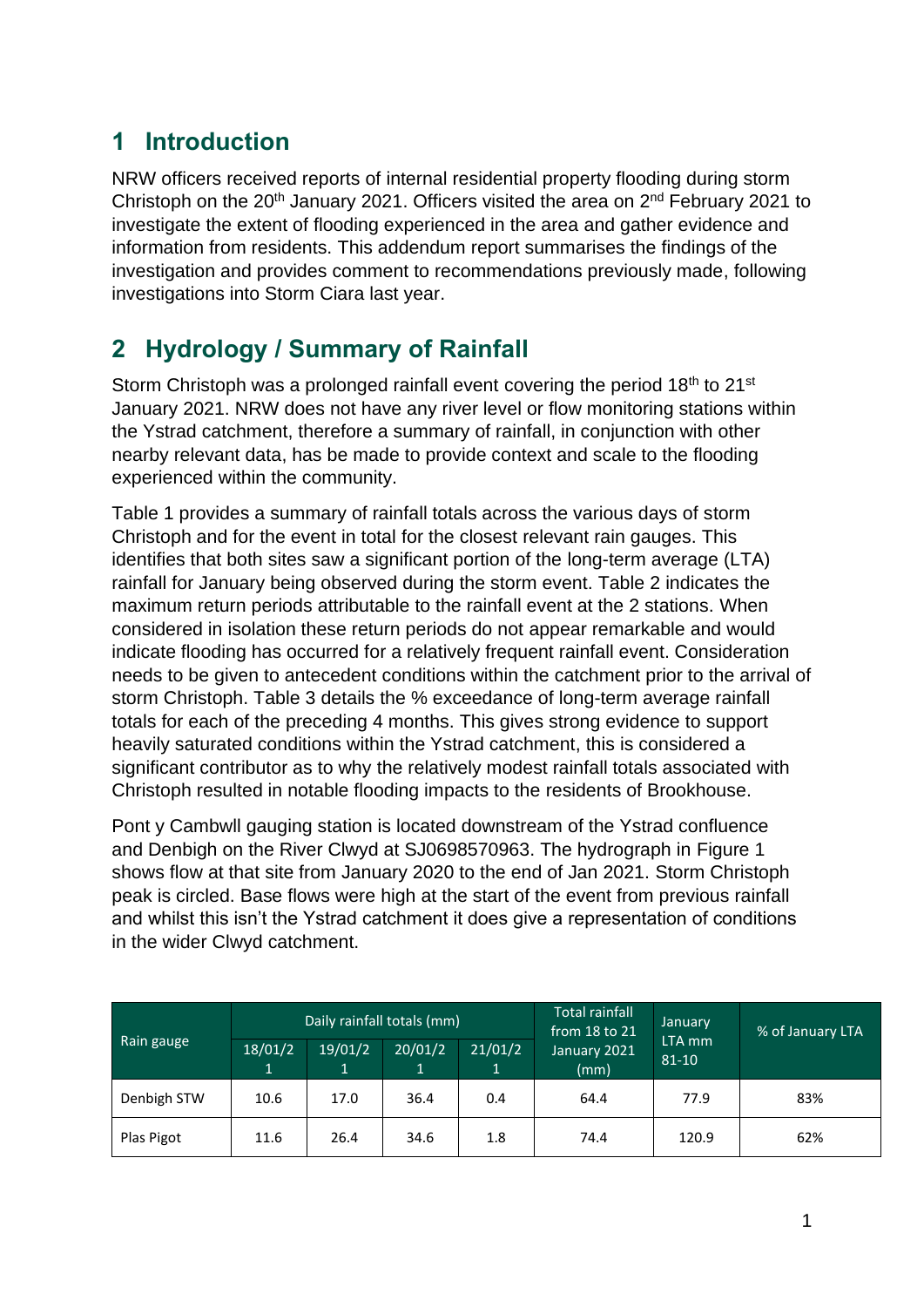## <span id="page-1-0"></span>**1 Introduction**

NRW officers received reports of internal residential property flooding during storm Christoph on the  $20<sup>th</sup>$  January 2021. Officers visited the area on  $2<sup>nd</sup>$  February 2021 to investigate the extent of flooding experienced in the area and gather evidence and information from residents. This addendum report summarises the findings of the investigation and provides comment to recommendations previously made, following investigations into Storm Ciara last year.

# <span id="page-1-1"></span>**2 Hydrology / Summary of Rainfall**

Storm Christoph was a prolonged rainfall event covering the period 18<sup>th</sup> to 21<sup>st</sup> January 2021. NRW does not have any river level or flow monitoring stations within the Ystrad catchment, therefore a summary of rainfall, in conjunction with other nearby relevant data, has be made to provide context and scale to the flooding experienced within the community.

Table 1 provides a summary of rainfall totals across the various days of storm Christoph and for the event in total for the closest relevant rain gauges. This identifies that both sites saw a significant portion of the long-term average (LTA) rainfall for January being observed during the storm event. Table 2 indicates the maximum return periods attributable to the rainfall event at the 2 stations. When considered in isolation these return periods do not appear remarkable and would indicate flooding has occurred for a relatively frequent rainfall event. Consideration needs to be given to antecedent conditions within the catchment prior to the arrival of storm Christoph. Table 3 details the % exceedance of long-term average rainfall totals for each of the preceding 4 months. This gives strong evidence to support heavily saturated conditions within the Ystrad catchment, this is considered a significant contributor as to why the relatively modest rainfall totals associated with Christoph resulted in notable flooding impacts to the residents of Brookhouse.

Pont y Cambwll gauging station is located downstream of the Ystrad confluence and Denbigh on the River Clwyd at SJ0698570963. The hydrograph in Figure 1 shows flow at that site from January 2020 to the end of Jan 2021. Storm Christoph peak is circled. Base flows were high at the start of the event from previous rainfall and whilst this isn't the Ystrad catchment it does give a representation of conditions in the wider Clwyd catchment.

|             |              | Daily rainfall totals (mm)      |              |         | <b>Total rainfall</b><br>from $18$ to $21$ | January                        | % of January LTA |  |
|-------------|--------------|---------------------------------|--------------|---------|--------------------------------------------|--------------------------------|------------------|--|
| Rain gauge  | 18/01/2<br>1 | 19/01/2<br>$\mathbf{1}^{\cdot}$ | 20/01/2<br>1 | 21/01/2 | January 2021<br>(mm)                       | LTA <sub>mm</sub><br>$81 - 10$ |                  |  |
| Denbigh STW | 10.6         | 17.0                            | 36.4         | 0.4     | 64.4                                       | 77.9                           | 83%              |  |
| Plas Pigot  | 11.6         | 26.4                            | 34.6         | 1.8     | 74.4                                       | 120.9                          | 62%              |  |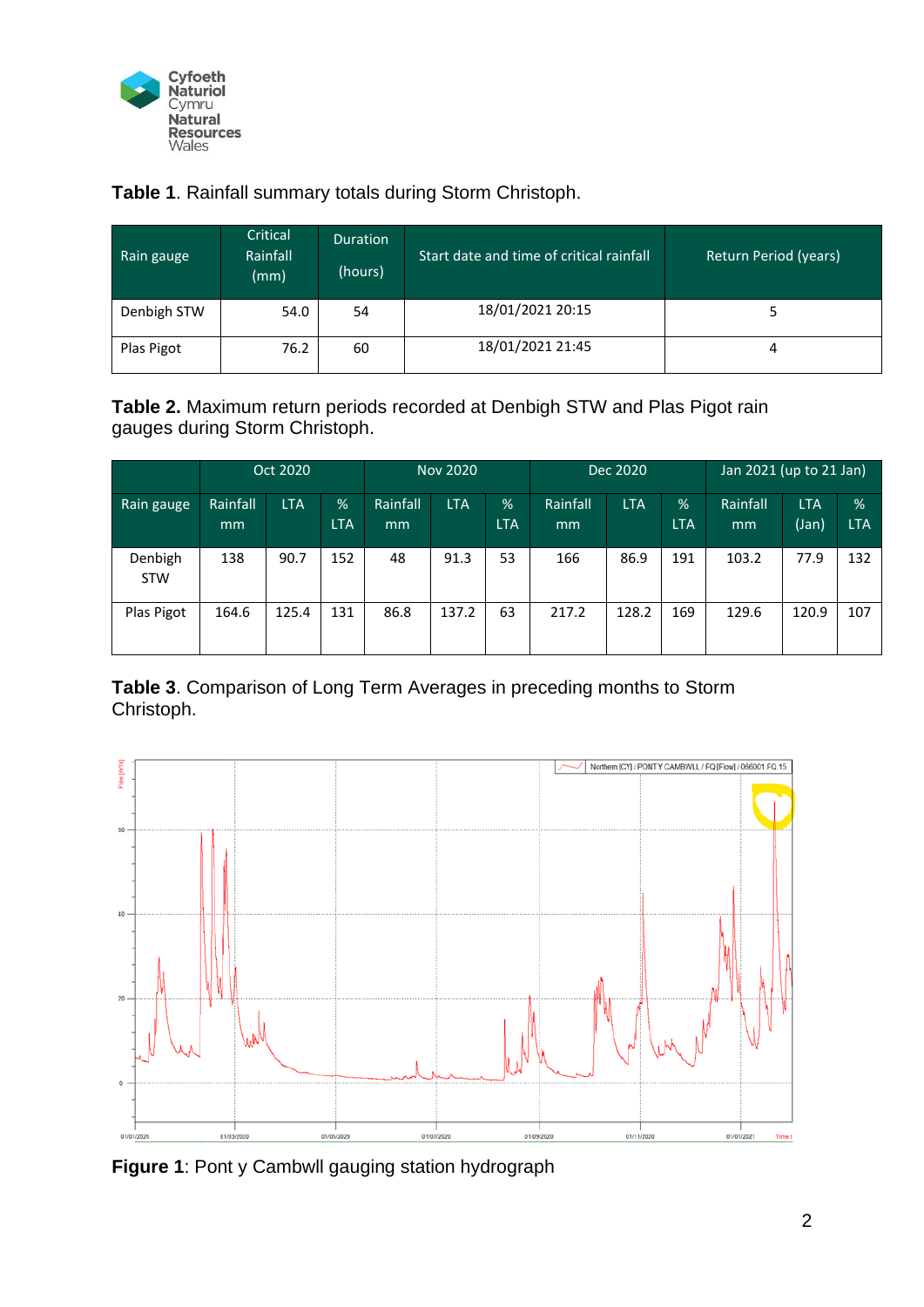

<span id="page-2-1"></span>**Table 1**. Rainfall summary totals during Storm Christoph.

| Rain gauge  | Critical<br>Rainfall<br>(mm) | Duration<br>(hours) | Start date and time of critical rainfall | Return Period (years) |
|-------------|------------------------------|---------------------|------------------------------------------|-----------------------|
| Denbigh STW | 54.0                         | 54                  | 18/01/2021 20:15                         |                       |
| Plas Pigot  | 76.2                         | 60                  | 18/01/2021 21:45                         | 4                     |

<span id="page-2-2"></span>**Table 2.** Maximum return periods recorded at Denbigh STW and Plas Pigot rain gauges during Storm Christoph.

|                       |                | Oct 2020   |                 | <b>Nov 2020</b> |            | Dec 2020                    |                |            | Jan 2021 (up to $2\overline{1}$ Jan) |                |                     |                    |
|-----------------------|----------------|------------|-----------------|-----------------|------------|-----------------------------|----------------|------------|--------------------------------------|----------------|---------------------|--------------------|
| Rain gauge            | Rainfall<br>mm | <b>LTA</b> | %<br><b>LTA</b> | Rainfall<br>mm  | <b>LTA</b> | $\frac{9}{6}$<br><b>LTA</b> | Rainfall<br>mm | <b>LTA</b> | %<br><b>LTA</b>                      | Rainfall<br>mm | <b>LTA</b><br>(Jan) | $\%$<br><b>LTA</b> |
| Denbigh<br><b>STW</b> | 138            | 90.7       | 152             | 48              | 91.3       | 53                          | 166            | 86.9       | 191                                  | 103.2          | 77.9                | 132                |
| Plas Pigot            | 164.6          | 125.4      | 131             | 86.8            | 137.2      | 63                          | 217.2          | 128.2      | 169                                  | 129.6          | 120.9               | 107                |

<span id="page-2-3"></span>**Table 3**. Comparison of Long Term Averages in preceding months to Storm Christoph.



<span id="page-2-0"></span>**Figure 1**: Pont y Cambwll gauging station hydrograph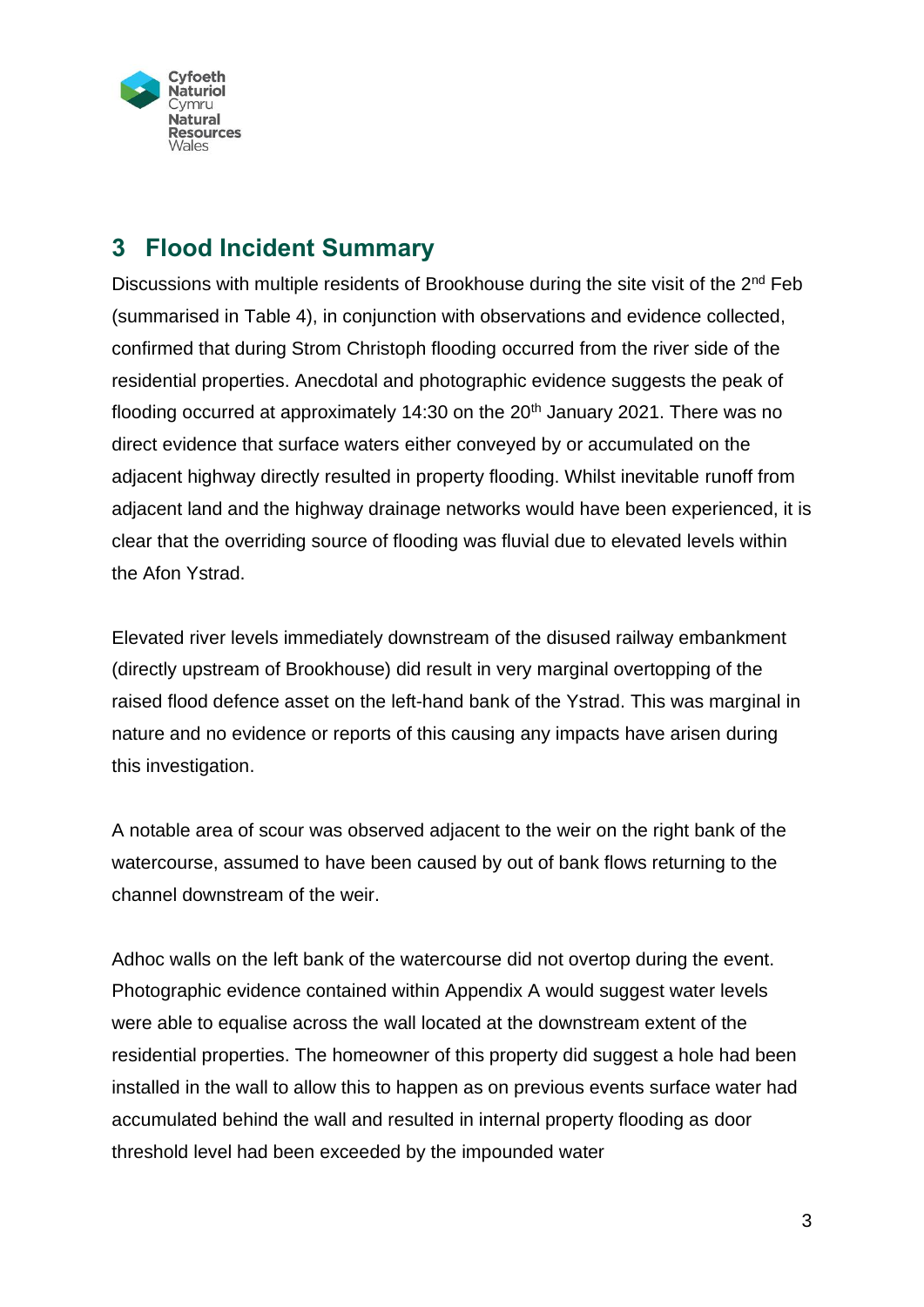

### <span id="page-3-0"></span>**3 Flood Incident Summary**

Discussions with multiple residents of Brookhouse during the site visit of the  $2<sup>nd</sup>$  Feb (summarised in Table 4), in conjunction with observations and evidence collected, confirmed that during Strom Christoph flooding occurred from the river side of the residential properties. Anecdotal and photographic evidence suggests the peak of flooding occurred at approximately 14:30 on the  $20<sup>th</sup>$  January 2021. There was no direct evidence that surface waters either conveyed by or accumulated on the adjacent highway directly resulted in property flooding. Whilst inevitable runoff from adjacent land and the highway drainage networks would have been experienced, it is clear that the overriding source of flooding was fluvial due to elevated levels within the Afon Ystrad.

Elevated river levels immediately downstream of the disused railway embankment (directly upstream of Brookhouse) did result in very marginal overtopping of the raised flood defence asset on the left-hand bank of the Ystrad. This was marginal in nature and no evidence or reports of this causing any impacts have arisen during this investigation.

A notable area of scour was observed adjacent to the weir on the right bank of the watercourse, assumed to have been caused by out of bank flows returning to the channel downstream of the weir.

Adhoc walls on the left bank of the watercourse did not overtop during the event. Photographic evidence contained within Appendix A would suggest water levels were able to equalise across the wall located at the downstream extent of the residential properties. The homeowner of this property did suggest a hole had been installed in the wall to allow this to happen as on previous events surface water had accumulated behind the wall and resulted in internal property flooding as door threshold level had been exceeded by the impounded water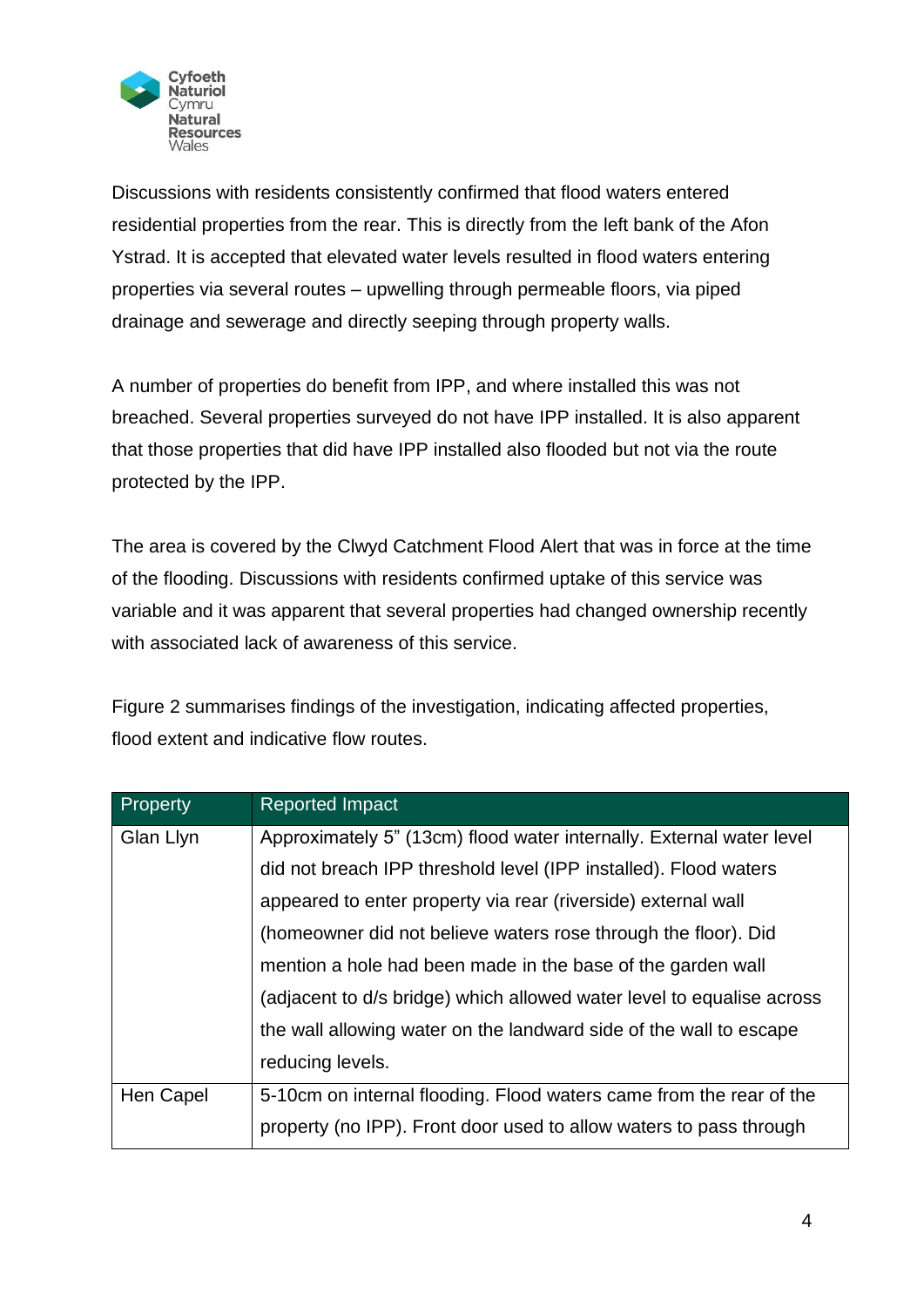

Discussions with residents consistently confirmed that flood waters entered residential properties from the rear. This is directly from the left bank of the Afon Ystrad. It is accepted that elevated water levels resulted in flood waters entering properties via several routes – upwelling through permeable floors, via piped drainage and sewerage and directly seeping through property walls.

A number of properties do benefit from IPP, and where installed this was not breached. Several properties surveyed do not have IPP installed. It is also apparent that those properties that did have IPP installed also flooded but not via the route protected by the IPP.

The area is covered by the Clwyd Catchment Flood Alert that was in force at the time of the flooding. Discussions with residents confirmed uptake of this service was variable and it was apparent that several properties had changed ownership recently with associated lack of awareness of this service.

Figure 2 summarises findings of the investigation, indicating affected properties, flood extent and indicative flow routes.

| Property  | <b>Reported Impact</b>                                                |
|-----------|-----------------------------------------------------------------------|
| Glan Llyn | Approximately 5" (13cm) flood water internally. External water level  |
|           | did not breach IPP threshold level (IPP installed). Flood waters      |
|           | appeared to enter property via rear (riverside) external wall         |
|           | (homeowner did not believe waters rose through the floor). Did        |
|           | mention a hole had been made in the base of the garden wall           |
|           | (adjacent to d/s bridge) which allowed water level to equalise across |
|           | the wall allowing water on the landward side of the wall to escape    |
|           | reducing levels.                                                      |
| Hen Capel | 5-10cm on internal flooding. Flood waters came from the rear of the   |
|           | property (no IPP). Front door used to allow waters to pass through    |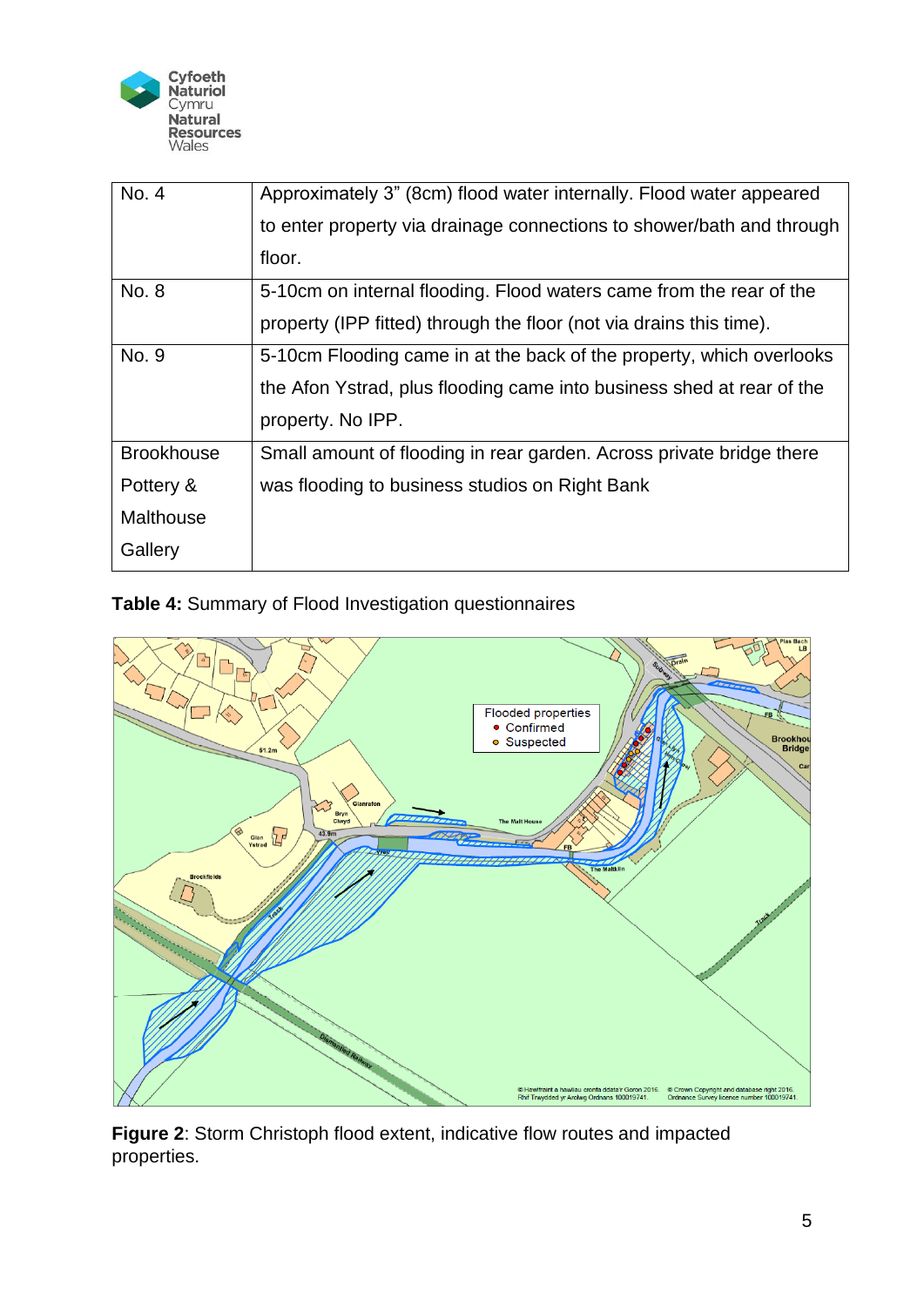

| No. 4             | Approximately 3" (8cm) flood water internally. Flood water appeared   |
|-------------------|-----------------------------------------------------------------------|
|                   | to enter property via drainage connections to shower/bath and through |
|                   | floor.                                                                |
| No. 8             | 5-10cm on internal flooding. Flood waters came from the rear of the   |
|                   | property (IPP fitted) through the floor (not via drains this time).   |
| No. 9             | 5-10cm Flooding came in at the back of the property, which overlooks  |
|                   | the Afon Ystrad, plus flooding came into business shed at rear of the |
|                   | property. No IPP.                                                     |
| <b>Brookhouse</b> | Small amount of flooding in rear garden. Across private bridge there  |
| Pottery &         | was flooding to business studios on Right Bank                        |
| <b>Malthouse</b>  |                                                                       |
| Gallery           |                                                                       |

<span id="page-5-1"></span>**Table 4:** Summary of Flood Investigation questionnaires



<span id="page-5-0"></span>**Figure 2**: Storm Christoph flood extent, indicative flow routes and impacted properties.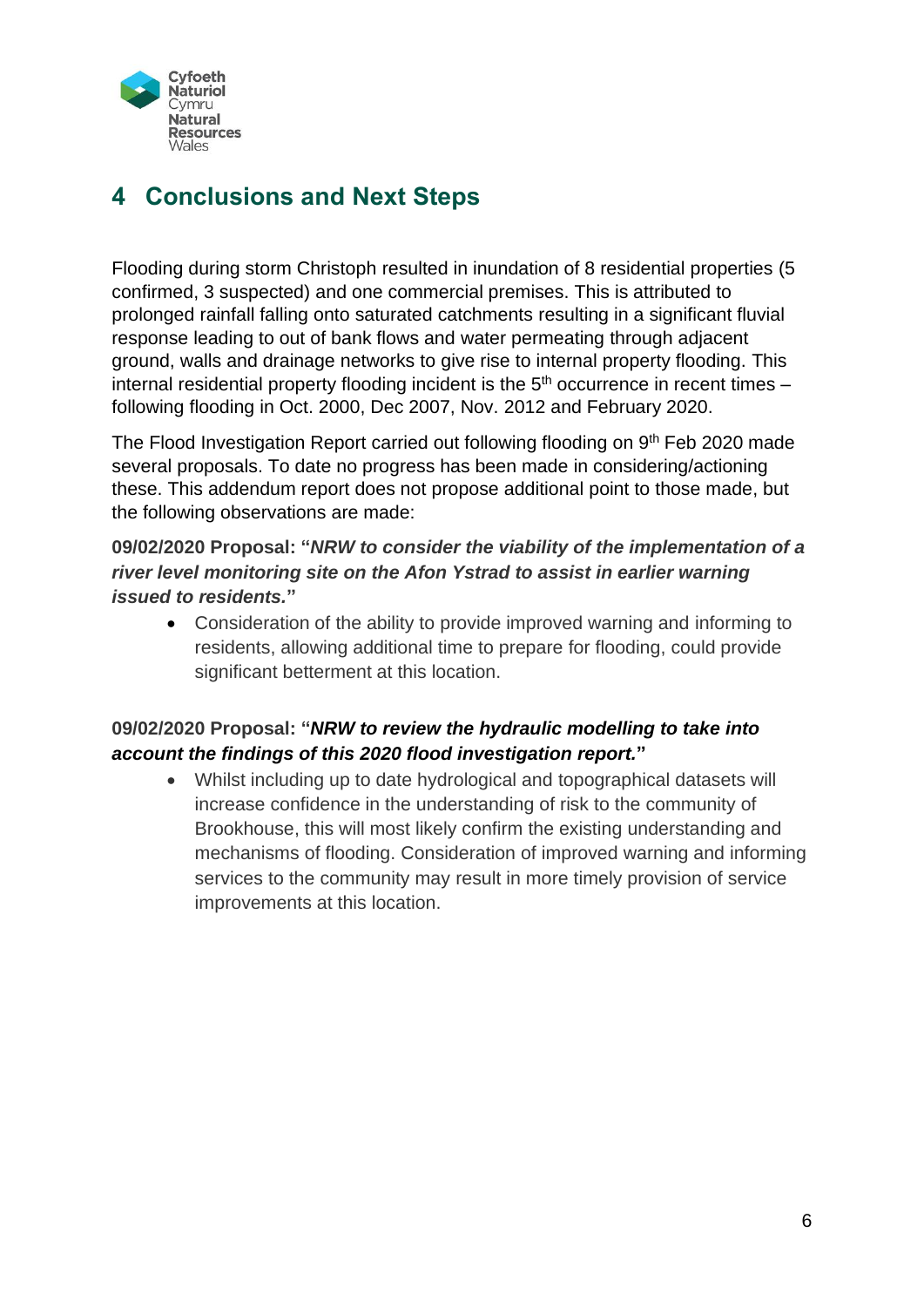

## <span id="page-6-0"></span>**4 Conclusions and Next Steps**

Flooding during storm Christoph resulted in inundation of 8 residential properties (5 confirmed, 3 suspected) and one commercial premises. This is attributed to prolonged rainfall falling onto saturated catchments resulting in a significant fluvial response leading to out of bank flows and water permeating through adjacent ground, walls and drainage networks to give rise to internal property flooding. This internal residential property flooding incident is the  $5<sup>th</sup>$  occurrence in recent times – following flooding in Oct. 2000, Dec 2007, Nov. 2012 and February 2020.

The Flood Investigation Report carried out following flooding on 9<sup>th</sup> Feb 2020 made several proposals. To date no progress has been made in considering/actioning these. This addendum report does not propose additional point to those made, but the following observations are made:

#### **09/02/2020 Proposal: "***NRW to consider the viability of the implementation of a river level monitoring site on the Afon Ystrad to assist in earlier warning issued to residents.***"**

• Consideration of the ability to provide improved warning and informing to residents, allowing additional time to prepare for flooding, could provide significant betterment at this location.

#### **09/02/2020 Proposal: "***NRW to review the hydraulic modelling to take into account the findings of this 2020 flood investigation report.***"**

• Whilst including up to date hydrological and topographical datasets will increase confidence in the understanding of risk to the community of Brookhouse, this will most likely confirm the existing understanding and mechanisms of flooding. Consideration of improved warning and informing services to the community may result in more timely provision of service improvements at this location.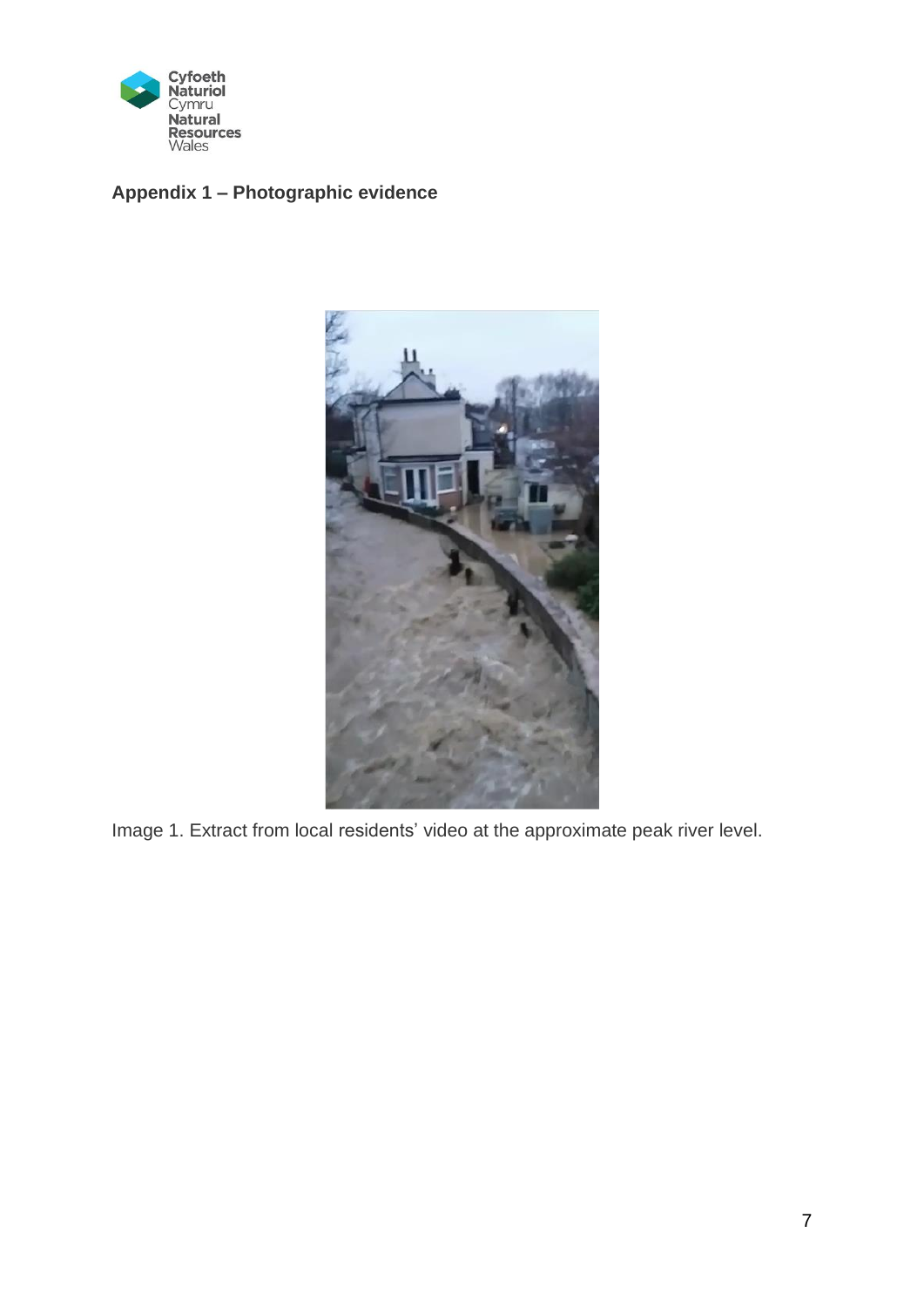

#### **Appendix 1 – Photographic evidence**



Image 1. Extract from local residents' video at the approximate peak river level.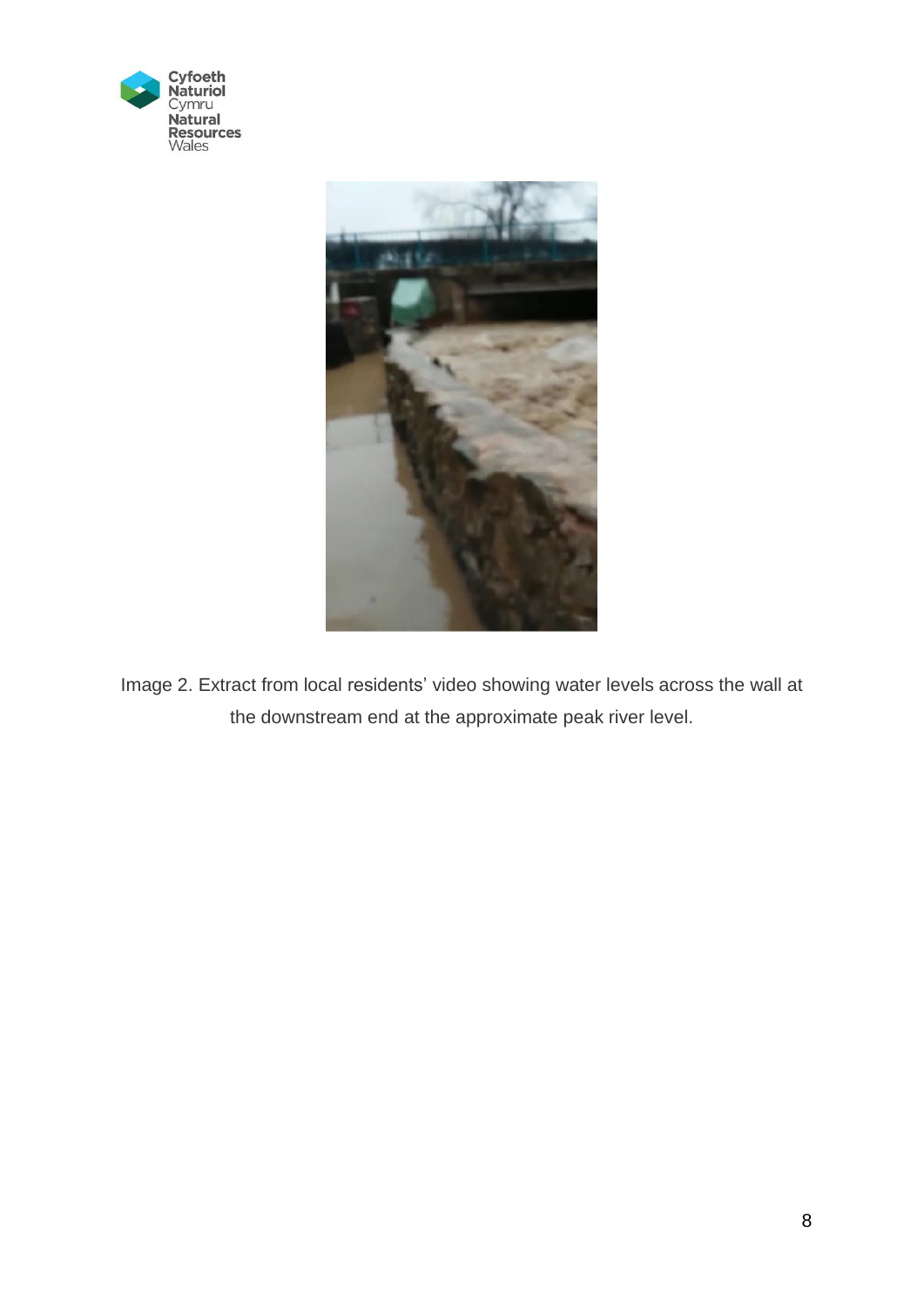



Image 2. Extract from local residents' video showing water levels across the wall at the downstream end at the approximate peak river level.